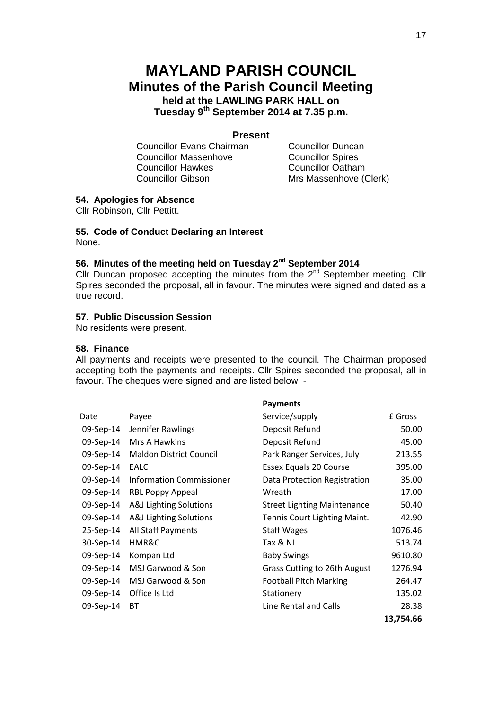# **MAYLAND PARISH COUNCIL Minutes of the Parish Council Meeting held at the LAWLING PARK HALL on Tuesday 9 th September 2014 at 7.35 p.m.**

#### **Present**

Councillor Evans Chairman Councillor Duncan Councillor Massenhove Councillor Spires Councillor Hawkes Councillor Oatham Councillor Gibson Mrs Massenhove (Clerk)

## **54. Apologies for Absence**

Cllr Robinson, Cllr Pettitt.

#### **55. Code of Conduct Declaring an Interest** None.

## **56. Minutes of the meeting held on Tuesday 2 nd September 2014**

Cllr Duncan proposed accepting the minutes from the  $2<sup>nd</sup>$  September meeting. Cllr Spires seconded the proposal, all in favour. The minutes were signed and dated as a true record.

### **57. Public Discussion Session**

No residents were present.

#### **58. Finance**

All payments and receipts were presented to the council. The Chairman proposed accepting both the payments and receipts. Cllr Spires seconded the proposal, all in favour. The cheques were signed and are listed below: -

|           |                                | <b>Payments</b>                    |           |
|-----------|--------------------------------|------------------------------------|-----------|
| Date      | Payee                          | Service/supply                     | £ Gross   |
| 09-Sep-14 | Jennifer Rawlings              | Deposit Refund                     | 50.00     |
| 09-Sep-14 | Mrs A Hawkins                  | Deposit Refund                     | 45.00     |
| 09-Sep-14 | <b>Maldon District Council</b> | Park Ranger Services, July         | 213.55    |
| 09-Sep-14 | EALC                           | Essex Equals 20 Course             | 395.00    |
| 09-Sep-14 | Information Commissioner       | Data Protection Registration       | 35.00     |
| 09-Sep-14 | <b>RBL Poppy Appeal</b>        | Wreath                             | 17.00     |
| 09-Sep-14 | A&J Lighting Solutions         | <b>Street Lighting Maintenance</b> | 50.40     |
| 09-Sep-14 | A&J Lighting Solutions         | Tennis Court Lighting Maint.       | 42.90     |
| 25-Sep-14 | All Staff Payments             | <b>Staff Wages</b>                 | 1076.46   |
| 30-Sep-14 | HMR&C                          | Tax & NI                           | 513.74    |
| 09-Sep-14 | Kompan Ltd                     | <b>Baby Swings</b>                 | 9610.80   |
| 09-Sep-14 | MSJ Garwood & Son              | Grass Cutting to 26th August       | 1276.94   |
| 09-Sep-14 | MSJ Garwood & Son              | <b>Football Pitch Marking</b>      | 264.47    |
| 09-Sep-14 | Office Is Ltd                  | Stationery                         | 135.02    |
| 09-Sep-14 | ВT                             | Line Rental and Calls              | 28.38     |
|           |                                |                                    | 13,754.66 |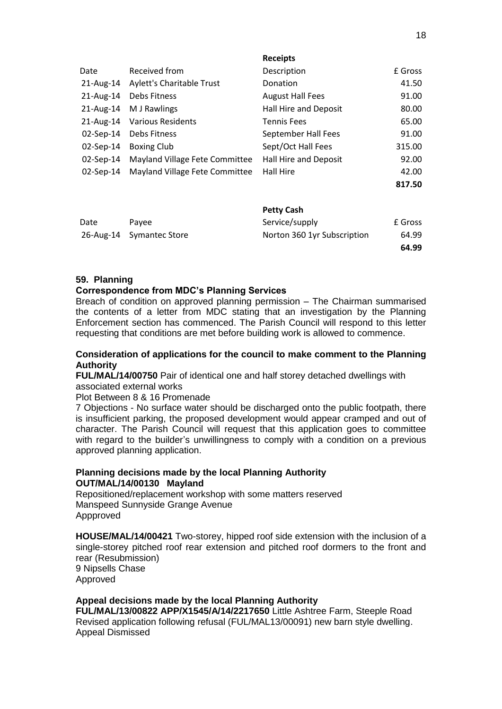|              |                                  | ncccipto                |         |
|--------------|----------------------------------|-------------------------|---------|
| Date         | Received from                    | Description             | £ Gross |
| 21-Aug-14    | <b>Aylett's Charitable Trust</b> | Donation                | 41.50   |
| 21-Aug-14    | Debs Fitness                     | <b>August Hall Fees</b> | 91.00   |
| 21-Aug-14    | M J Rawlings                     | Hall Hire and Deposit   | 80.00   |
| $21$ -Aug-14 | <b>Various Residents</b>         | <b>Tennis Fees</b>      | 65.00   |
| $02$ -Sep-14 | Debs Fitness                     | September Hall Fees     | 91.00   |
| 02-Sep-14    | <b>Boxing Club</b>               | Sept/Oct Hall Fees      | 315.00  |
| $02$ -Sep-14 | Mayland Village Fete Committee   | Hall Hire and Deposit   | 92.00   |
| $02$ -Sep-14 | Mayland Village Fete Committee   | Hall Hire               | 42.00   |
|              |                                  |                         | 817.50  |
|              |                                  |                         |         |

**Receipts** 

|      |                          | <b>Petty Cash</b>           |         |
|------|--------------------------|-----------------------------|---------|
| Date | Pavee                    | Service/supply              | £ Gross |
|      | 26-Aug-14 Symantec Store | Norton 360 1yr Subscription | 64.99   |
|      |                          |                             | 64.99   |

#### **59. Planning**

#### **Correspondence from MDC's Planning Services**

Breach of condition on approved planning permission – The Chairman summarised the contents of a letter from MDC stating that an investigation by the Planning Enforcement section has commenced. The Parish Council will respond to this letter requesting that conditions are met before building work is allowed to commence.

#### **Consideration of applications for the council to make comment to the Planning Authority**

**FUL/MAL/14/00750** Pair of identical one and half storey detached dwellings with associated external works

Plot Between 8 & 16 Promenade

7 Objections - No surface water should be discharged onto the public footpath, there is insufficient parking, the proposed development would appear cramped and out of character. The Parish Council will request that this application goes to committee with regard to the builder's unwillingness to comply with a condition on a previous approved planning application.

#### **Planning decisions made by the local Planning Authority OUT/MAL/14/00130 Mayland**

Repositioned/replacement workshop with some matters reserved Manspeed Sunnyside Grange Avenue Appproved

**HOUSE/MAL/14/00421** Two-storey, hipped roof side extension with the inclusion of a single-storey pitched roof rear extension and pitched roof dormers to the front and rear (Resubmission) 9 Nipsells Chase Approved

#### **Appeal decisions made by the local Planning Authority**

**FUL/MAL/13/00822 APP/X1545/A/14/2217650** Little Ashtree Farm, Steeple Road Revised application following refusal (FUL/MAL13/00091) new barn style dwelling. Appeal Dismissed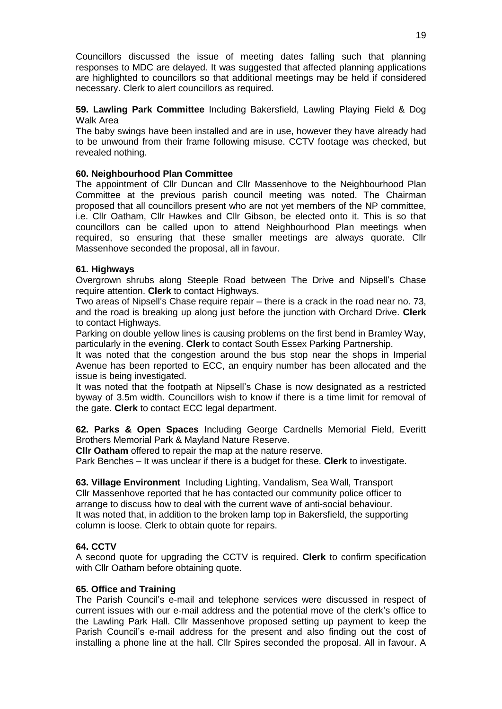Councillors discussed the issue of meeting dates falling such that planning responses to MDC are delayed. It was suggested that affected planning applications are highlighted to councillors so that additional meetings may be held if considered necessary. Clerk to alert councillors as required.

**59. Lawling Park Committee** Including Bakersfield, Lawling Playing Field & Dog Walk Area

The baby swings have been installed and are in use, however they have already had to be unwound from their frame following misuse. CCTV footage was checked, but revealed nothing.

#### **60. Neighbourhood Plan Committee**

The appointment of Cllr Duncan and Cllr Massenhove to the Neighbourhood Plan Committee at the previous parish council meeting was noted. The Chairman proposed that all councillors present who are not yet members of the NP committee, i.e. Cllr Oatham, Cllr Hawkes and Cllr Gibson, be elected onto it. This is so that councillors can be called upon to attend Neighbourhood Plan meetings when required, so ensuring that these smaller meetings are always quorate. Cllr Massenhove seconded the proposal, all in favour.

#### **61. Highways**

Overgrown shrubs along Steeple Road between The Drive and Nipsell's Chase require attention. **Clerk** to contact Highways.

Two areas of Nipsell's Chase require repair – there is a crack in the road near no. 73, and the road is breaking up along just before the junction with Orchard Drive. **Clerk**  to contact Highways.

Parking on double yellow lines is causing problems on the first bend in Bramley Way, particularly in the evening. **Clerk** to contact South Essex Parking Partnership.

It was noted that the congestion around the bus stop near the shops in Imperial Avenue has been reported to ECC, an enquiry number has been allocated and the issue is being investigated.

It was noted that the footpath at Nipsell's Chase is now designated as a restricted byway of 3.5m width. Councillors wish to know if there is a time limit for removal of the gate. **Clerk** to contact ECC legal department.

**62. Parks & Open Spaces** Including George Cardnells Memorial Field, Everitt Brothers Memorial Park & Mayland Nature Reserve.

**Cllr Oatham** offered to repair the map at the nature reserve.

Park Benches – It was unclear if there is a budget for these. **Clerk** to investigate.

**63. Village Environment** Including Lighting, Vandalism, Sea Wall, Transport Cllr Massenhove reported that he has contacted our community police officer to arrange to discuss how to deal with the current wave of anti-social behaviour. It was noted that, in addition to the broken lamp top in Bakersfield, the supporting column is loose. Clerk to obtain quote for repairs.

#### **64. CCTV**

A second quote for upgrading the CCTV is required. **Clerk** to confirm specification with Cllr Oatham before obtaining quote.

#### **65. Office and Training**

The Parish Council's e-mail and telephone services were discussed in respect of current issues with our e-mail address and the potential move of the clerk's office to the Lawling Park Hall. Cllr Massenhove proposed setting up payment to keep the Parish Council's e-mail address for the present and also finding out the cost of installing a phone line at the hall. Cllr Spires seconded the proposal. All in favour. A